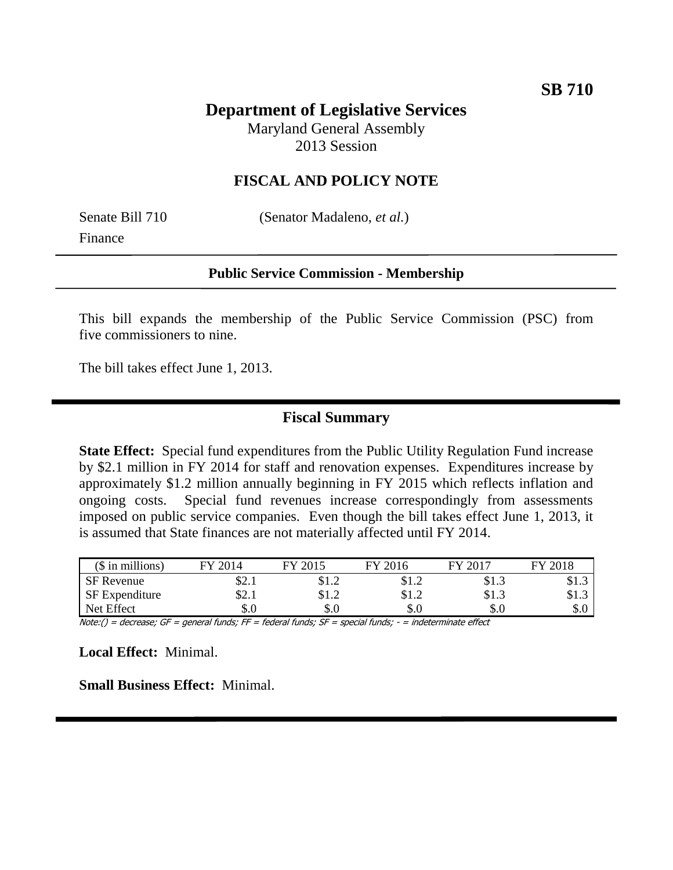# **Department of Legislative Services**

Maryland General Assembly 2013 Session

## **FISCAL AND POLICY NOTE**

Finance

Senate Bill 710 (Senator Madaleno, *et al.*)

#### **Public Service Commission - Membership**

This bill expands the membership of the Public Service Commission (PSC) from five commissioners to nine.

The bill takes effect June 1, 2013.

## **Fiscal Summary**

**State Effect:** Special fund expenditures from the Public Utility Regulation Fund increase by \$2.1 million in FY 2014 for staff and renovation expenses. Expenditures increase by approximately \$1.2 million annually beginning in FY 2015 which reflects inflation and ongoing costs. Special fund revenues increase correspondingly from assessments imposed on public service companies. Even though the bill takes effect June 1, 2013, it is assumed that State finances are not materially affected until FY 2014.

| $($$ in millions) | 2014<br>ГV | 2015<br>FУ | 2016<br>FV | 2017<br>FУ | 2018<br>FV |
|-------------------|------------|------------|------------|------------|------------|
| <b>SF</b> Revenue | . Հ. 1     | \$1.2      | \$1.2      | \$1.3      | \$1.3      |
| SF Expenditure    | \$2.1      | \$1.2      | \$1.2      | \$1.3      | \$1.3      |
| Net Effect        | \$.0       | $\$.0$     | \$.0       | \$.0       | σΩ<br>d.¢  |

Note:() = decrease; GF = general funds; FF = federal funds; SF = special funds; - = indeterminate effect

**Local Effect:** Minimal.

**Small Business Effect:** Minimal.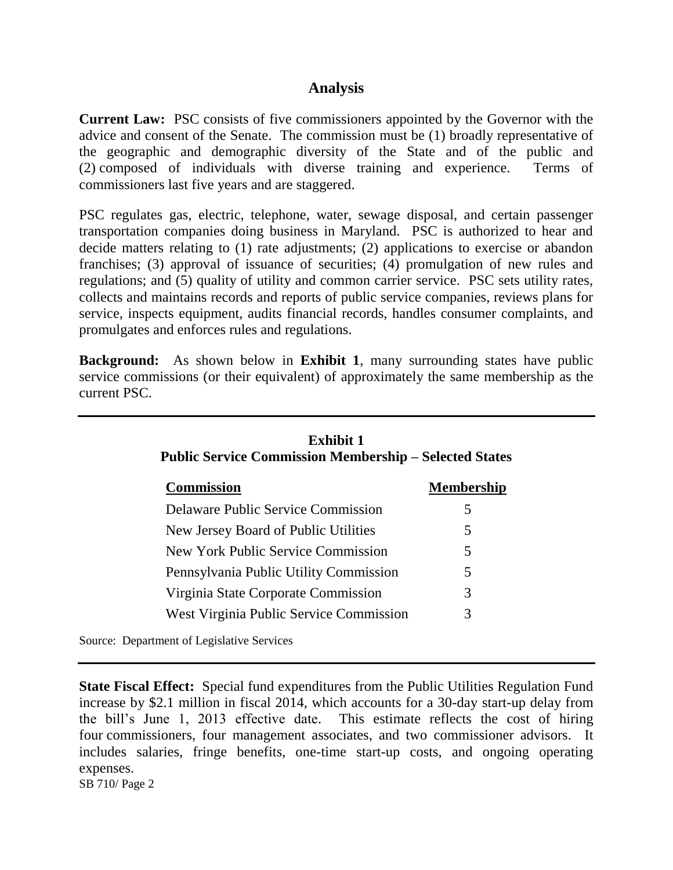#### **Analysis**

**Current Law:** PSC consists of five commissioners appointed by the Governor with the advice and consent of the Senate. The commission must be (1) broadly representative of the geographic and demographic diversity of the State and of the public and (2) composed of individuals with diverse training and experience. Terms of commissioners last five years and are staggered.

PSC regulates gas, electric, telephone, water, sewage disposal, and certain passenger transportation companies doing business in Maryland. PSC is authorized to hear and decide matters relating to (1) rate adjustments; (2) applications to exercise or abandon franchises; (3) approval of issuance of securities; (4) promulgation of new rules and regulations; and (5) quality of utility and common carrier service. PSC sets utility rates, collects and maintains records and reports of public service companies, reviews plans for service, inspects equipment, audits financial records, handles consumer complaints, and promulgates and enforces rules and regulations.

**Background:** As shown below in **Exhibit 1**, many surrounding states have public service commissions (or their equivalent) of approximately the same membership as the current PSC.

| Exhibit 1<br><b>Public Service Commission Membership – Selected States</b> |                   |  |  |  |
|----------------------------------------------------------------------------|-------------------|--|--|--|
| <b>Commission</b>                                                          | <b>Membership</b> |  |  |  |
| <b>Delaware Public Service Commission</b>                                  | 5                 |  |  |  |
| New Jersey Board of Public Utilities                                       | 5                 |  |  |  |
| New York Public Service Commission                                         | 5                 |  |  |  |
| Pennsylvania Public Utility Commission                                     | 5                 |  |  |  |
| Virginia State Corporate Commission                                        | 3                 |  |  |  |
| West Virginia Public Service Commission                                    | 3                 |  |  |  |

Source: Department of Legislative Services

SB 710/ Page 2 **State Fiscal Effect:** Special fund expenditures from the Public Utilities Regulation Fund increase by \$2.1 million in fiscal 2014, which accounts for a 30-day start-up delay from the bill's June 1, 2013 effective date. This estimate reflects the cost of hiring four commissioners, four management associates, and two commissioner advisors. It includes salaries, fringe benefits, one-time start-up costs, and ongoing operating expenses.